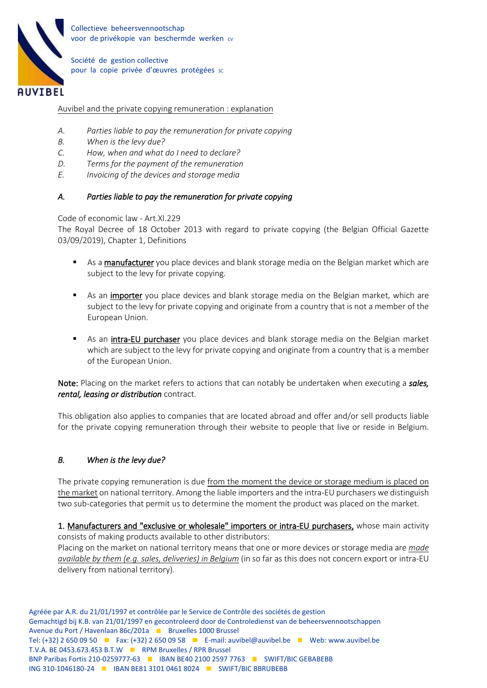

Collectieve beheersvennootschap voor de privékopie van beschermde werken cv

Société de gestion collective pour la copie privée d'œuvres protégées sc

#### Auvibel and the private copying remuneration : explanation

- *A. Parties liable to pay the remuneration for private copying*
- *B. When is the levy due?*
- *C. How, when and what do I need to declare?*
- *D. Terms for the payment of the remuneration*
- *E. Invoicing of the devices and storage media*

#### *A. Parties liable to pay the remuneration for private copying*

Code of economic law - Art.XI.229

The Royal Decree of 18 October 2013 with regard to private copying (the Belgian Official Gazette 03/09/2019), Chapter 1, Definitions

- **EXECT** As a manufacturer you place devices and blank storage media on the Belgian market which are subject to the levy for private copying.
- As an importer you place devices and blank storage media on the Belgian market, which are subject to the levy for private copying and originate from a country that is not a member of the European Union.
- As an **intra-EU purchaser** you place devices and blank storage media on the Belgian market which are subject to the levy for private copying and originate from a country that is a member of the European Union.

Note: Placing on the market refers to actions that can notably be undertaken when executing a *sales, rental, leasing or distribution* contract.

This obligation also applies to companies that are located abroad and offer and/or sell products liable for the private copying remuneration through their website to people that live or reside in Belgium.

## *B. When is the levy due?*

The private copying remuneration is due from the moment the device or storage medium is placed on the market on national territory. Among the liable importers and the intra-EU purchasers we distinguish two sub-categories that permit us to determine the moment the product was placed on the market.

1. Manufacturers and "exclusive or wholesale" importers or intra-EU purchasers, whose main activity consists of making products available to other distributors:

Placing on the market on national territory means that one or more devices or storage media are *made available by them (e.g. sales, deliveries) in Belgium* (in so far as this does not concern export or intra-EU delivery from national territory).

Agréée par A.R. du 21/01/1997 et contrôlée par le Service de Contrôle des sociétés de gestion Gemachtigd bij K.B. van 21/01/1997 en gecontroleerd door de Controledienst van de beheersvennootschappen Avenue du Port / Havenlaan 86c/201a Bruxelles 1000 Brussel Tel:  $(+32)$  2 650 09 50 **F** Fax:  $(+32)$  2 650 09 58 **F** E-mail: auvibel@auvibel.be **F** Web: www.auvibel.be T.V.A. BE 0453.673.453 B.T.W RPM Bruxelles / RPR Brussel BNP Paribas Fortis 210-0259777-63 | IBAN BE40 2100 2597 7763 | SWIFT/BIC GEBABEBB ING 310-1046180-24 **IBAN BE81 3101 0461 8024 IBAN SWIFT/BIC BBRUBEBB**